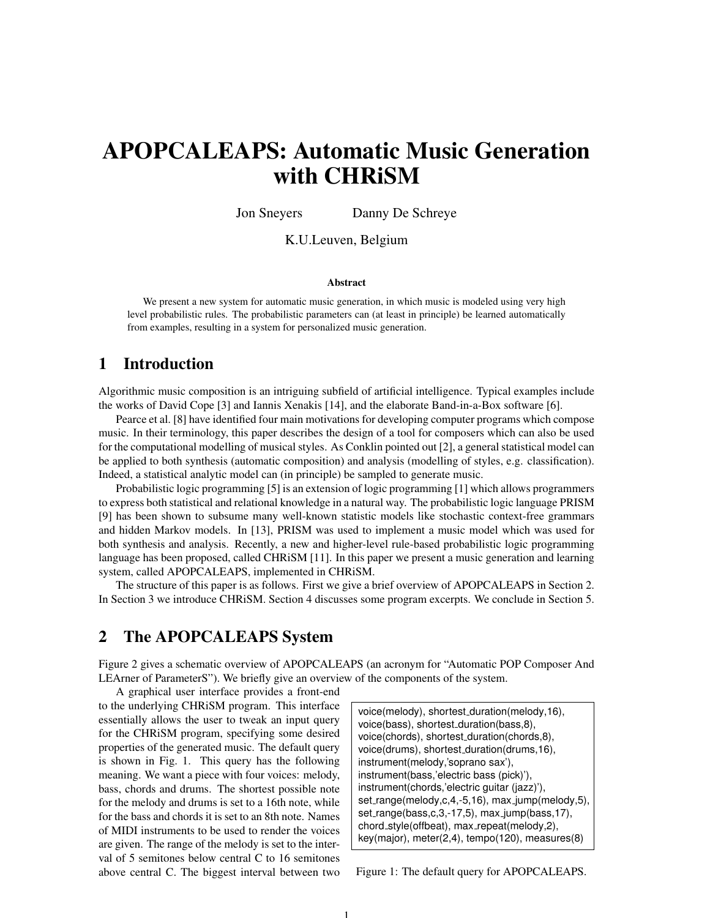# APOPCALEAPS: Automatic Music Generation with CHRiSM

Jon Sneyers Danny De Schreye

## K.U.Leuven, Belgium

#### Abstract

We present a new system for automatic music generation, in which music is modeled using very high level probabilistic rules. The probabilistic parameters can (at least in principle) be learned automatically from examples, resulting in a system for personalized music generation.

# 1 Introduction

Algorithmic music composition is an intriguing subfield of artificial intelligence. Typical examples include the works of David Cope [3] and Iannis Xenakis [14], and the elaborate Band-in-a-Box software [6].

Pearce et al. [8] have identified four main motivations for developing computer programs which compose music. In their terminology, this paper describes the design of a tool for composers which can also be used for the computational modelling of musical styles. As Conklin pointed out [2], a general statistical model can be applied to both synthesis (automatic composition) and analysis (modelling of styles, e.g. classification). Indeed, a statistical analytic model can (in principle) be sampled to generate music.

Probabilistic logic programming [5] is an extension of logic programming [1] which allows programmers to express both statistical and relational knowledge in a natural way. The probabilistic logic language PRISM [9] has been shown to subsume many well-known statistic models like stochastic context-free grammars and hidden Markov models. In [13], PRISM was used to implement a music model which was used for both synthesis and analysis. Recently, a new and higher-level rule-based probabilistic logic programming language has been proposed, called CHRiSM [11]. In this paper we present a music generation and learning system, called APOPCALEAPS, implemented in CHRiSM.

The structure of this paper is as follows. First we give a brief overview of APOPCALEAPS in Section 2. In Section 3 we introduce CHRiSM. Section 4 discusses some program excerpts. We conclude in Section 5.

# 2 The APOPCALEAPS System

Figure 2 gives a schematic overview of APOPCALEAPS (an acronym for "Automatic POP Composer And LEArner of ParameterS"). We briefly give an overview of the components of the system.

1

A graphical user interface provides a front-end to the underlying CHRiSM program. This interface essentially allows the user to tweak an input query for the CHRiSM program, specifying some desired properties of the generated music. The default query is shown in Fig. 1. This query has the following meaning. We want a piece with four voices: melody, bass, chords and drums. The shortest possible note for the melody and drums is set to a 16th note, while for the bass and chords it is set to an 8th note. Names of MIDI instruments to be used to render the voices are given. The range of the melody is set to the interval of 5 semitones below central C to 16 semitones above central C. The biggest interval between two

voice(melody), shortest duration(melody,16), voice(bass), shortest duration(bass,8), voice(chords), shortest duration(chords,8), voice(drums), shortest duration(drums,16), instrument(melody,'soprano sax'), instrument(bass,'electric bass (pick)'), instrument(chords,'electric guitar (jazz)'), set\_range(melody,c,4,-5,16), max\_jump(melody,5), set range(bass,c,3,-17,5), max jump(bass,17), chord\_style(offbeat), max\_repeat(melody,2), key(major), meter(2,4), tempo(120), measures(8)

Figure 1: The default query for APOPCALEAPS.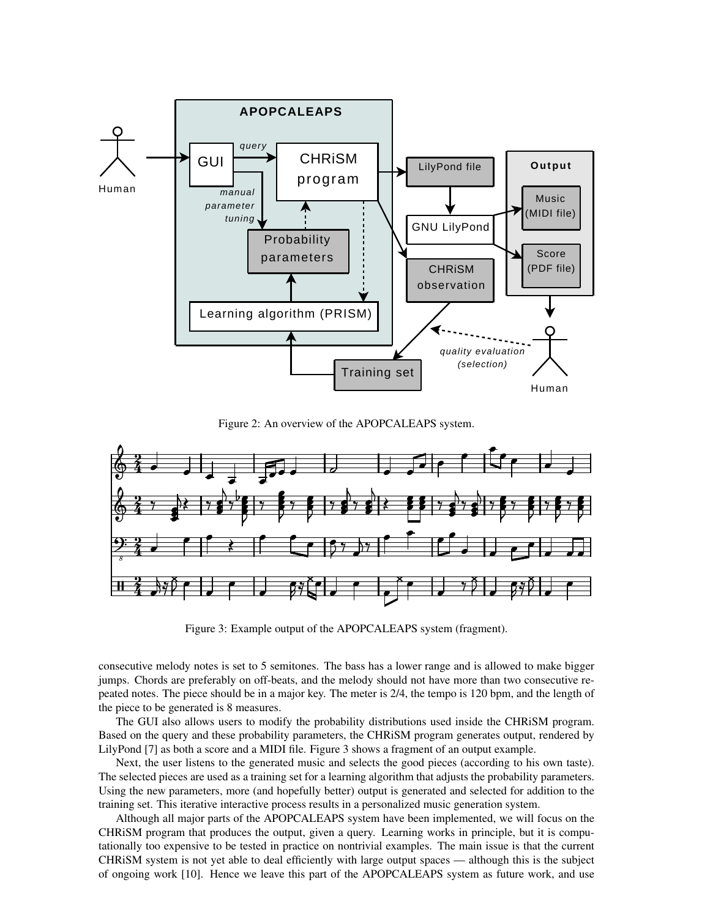

Figure 2: An overview of the APOPCALEAPS system.



Figure 3: Example output of the APOPCALEAPS system (fragment).

consecutive melody notes is set to 5 semitones. The bass has a lower range and is allowed to make bigger jumps. Chords are preferably on off-beats, and the melody should not have more than two consecutive repeated notes. The piece should be in a major key. The meter is 2/4, the tempo is 120 bpm, and the length of the piece to be generated is 8 measures.

The GUI also allows users to modify the probability distributions used inside the CHRiSM program. Based on the query and these probability parameters, the CHRiSM program generates output, rendered by LilyPond [7] as both a score and a MIDI file. Figure 3 shows a fragment of an output example.

Next, the user listens to the generated music and selects the good pieces (according to his own taste). The selected pieces are used as a training set for a learning algorithm that adjusts the probability parameters. Using the new parameters, more (and hopefully better) output is generated and selected for addition to the training set. This iterative interactive process results in a personalized music generation system.

Although all major parts of the APOPCALEAPS system have been implemented, we will focus on the CHRiSM program that produces the output, given a query. Learning works in principle, but it is computationally too expensive to be tested in practice on nontrivial examples. The main issue is that the current CHRiSM system is not yet able to deal efficiently with large output spaces — although this is the subject of ongoing work [10]. Hence we leave this part of the APOPCALEAPS system as future work, and use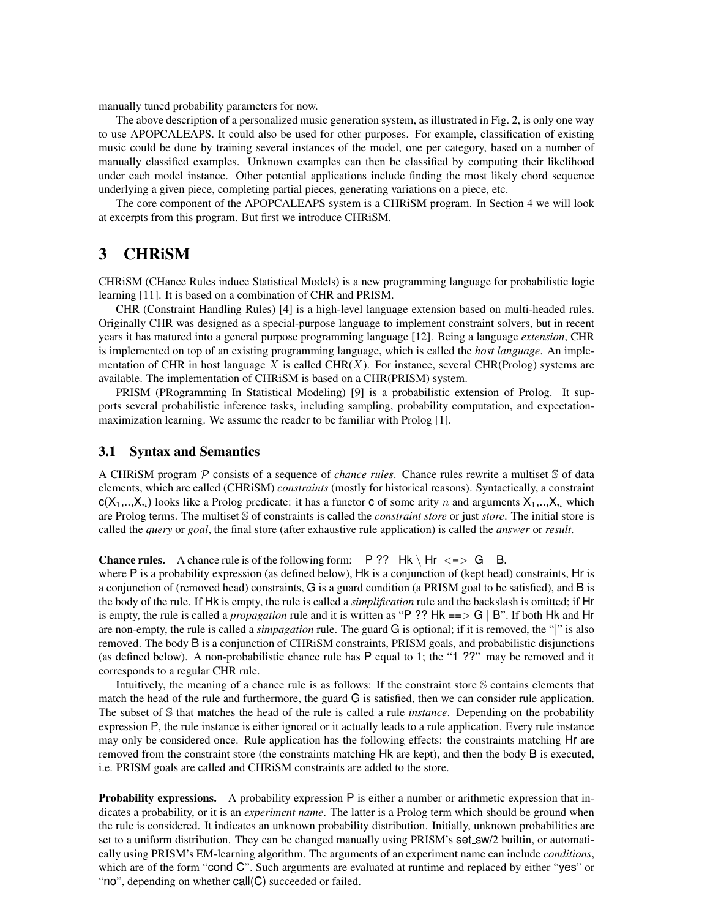manually tuned probability parameters for now.

The above description of a personalized music generation system, as illustrated in Fig. 2, is only one way to use APOPCALEAPS. It could also be used for other purposes. For example, classification of existing music could be done by training several instances of the model, one per category, based on a number of manually classified examples. Unknown examples can then be classified by computing their likelihood under each model instance. Other potential applications include finding the most likely chord sequence underlying a given piece, completing partial pieces, generating variations on a piece, etc.

The core component of the APOPCALEAPS system is a CHRiSM program. In Section 4 we will look at excerpts from this program. But first we introduce CHRiSM.

## 3 CHRiSM

CHRiSM (CHance Rules induce Statistical Models) is a new programming language for probabilistic logic learning [11]. It is based on a combination of CHR and PRISM.

CHR (Constraint Handling Rules) [4] is a high-level language extension based on multi-headed rules. Originally CHR was designed as a special-purpose language to implement constraint solvers, but in recent years it has matured into a general purpose programming language [12]. Being a language *extension*, CHR is implemented on top of an existing programming language, which is called the *host language*. An implementation of CHR in host language X is called CHR(X). For instance, several CHR(Prolog) systems are available. The implementation of CHRiSM is based on a CHR(PRISM) system.

PRISM (PRogramming In Statistical Modeling) [9] is a probabilistic extension of Prolog. It supports several probabilistic inference tasks, including sampling, probability computation, and expectationmaximization learning. We assume the reader to be familiar with Prolog [1].

#### 3.1 Syntax and Semantics

A CHRiSM program P consists of a sequence of *chance rules*. Chance rules rewrite a multiset S of data elements, which are called (CHRiSM) *constraints* (mostly for historical reasons). Syntactically, a constraint  $c(X_1,..,X_n)$  looks like a Prolog predicate: it has a functor c of some arity n and arguments  $X_1,..,X_n$  which are Prolog terms. The multiset S of constraints is called the *constraint store* or just *store*. The initial store is called the *query* or *goal*, the final store (after exhaustive rule application) is called the *answer* or *result*.

**Chance rules.** A chance rule is of the following form:  $P$  ?? Hk \ Hr <=> G | B.

where P is a probability expression (as defined below), Hk is a conjunction of (kept head) constraints, Hr is a conjunction of (removed head) constraints, G is a guard condition (a PRISM goal to be satisfied), and B is the body of the rule. If Hk is empty, the rule is called a *simplification* rule and the backslash is omitted; if Hr is empty, the rule is called a *propagation* rule and it is written as "P ?? Hk ==> G | B". If both Hk and Hr are non-empty, the rule is called a *simpagation* rule. The guard G is optional; if it is removed, the "|" is also removed. The body B is a conjunction of CHRiSM constraints, PRISM goals, and probabilistic disjunctions (as defined below). A non-probabilistic chance rule has P equal to 1; the "1 ??" may be removed and it corresponds to a regular CHR rule.

Intuitively, the meaning of a chance rule is as follows: If the constraint store S contains elements that match the head of the rule and furthermore, the guard G is satisfied, then we can consider rule application. The subset of S that matches the head of the rule is called a rule *instance*. Depending on the probability expression P, the rule instance is either ignored or it actually leads to a rule application. Every rule instance may only be considered once. Rule application has the following effects: the constraints matching Hr are removed from the constraint store (the constraints matching Hk are kept), and then the body B is executed, i.e. PRISM goals are called and CHRiSM constraints are added to the store.

Probability expressions. A probability expression P is either a number or arithmetic expression that indicates a probability, or it is an *experiment name*. The latter is a Prolog term which should be ground when the rule is considered. It indicates an unknown probability distribution. Initially, unknown probabilities are set to a uniform distribution. They can be changed manually using PRISM's set sw/2 builtin, or automatically using PRISM's EM-learning algorithm. The arguments of an experiment name can include *conditions*, which are of the form "cond C". Such arguments are evaluated at runtime and replaced by either "yes" or "no", depending on whether call(C) succeeded or failed.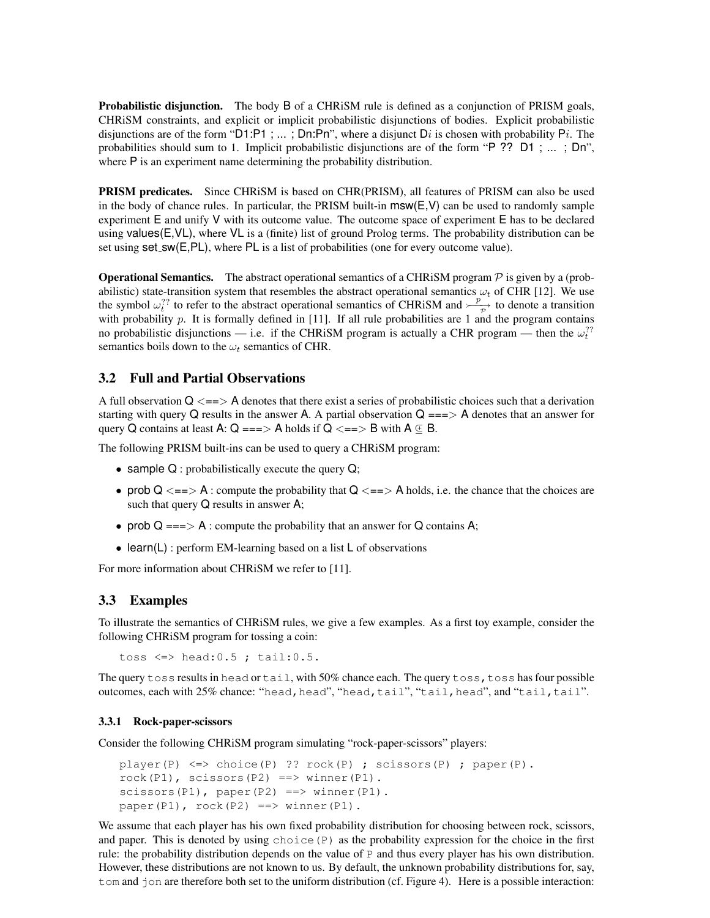Probabilistic disjunction. The body B of a CHRiSM rule is defined as a conjunction of PRISM goals, CHRiSM constraints, and explicit or implicit probabilistic disjunctions of bodies. Explicit probabilistic disjunctions are of the form "D1:P1 ; ... ; Dn:Pn", where a disjunct Di is chosen with probability Pi. The probabilities should sum to 1. Implicit probabilistic disjunctions are of the form "P ?? D1 ; ... ; Dn", where P is an experiment name determining the probability distribution.

PRISM predicates. Since CHRiSM is based on CHR(PRISM), all features of PRISM can also be used in the body of chance rules. In particular, the PRISM built-in  $msw(E,V)$  can be used to randomly sample experiment E and unify V with its outcome value. The outcome space of experiment E has to be declared using values(E,VL), where VL is a (finite) list of ground Prolog terms. The probability distribution can be set using  $set\_sw(E, PL)$ , where PL is a list of probabilities (one for every outcome value).

**Operational Semantics.** The abstract operational semantics of a CHRiSM program  $\mathcal P$  is given by a (probabilistic) state-transition system that resembles the abstract operational semantics  $\omega_t$  of CHR [12]. We use the symbol  $\omega_t^{\gamma}$  to refer to the abstract operational semantics of CHRiSM and  $-\frac{p}{\gamma}$  $\Rightarrow$  to denote a transition with probability  $p$ . It is formally defined in [11]. If all rule probabilities are 1 and the program contains no probabilistic disjunctions — i.e. if the CHRiSM program is actually a CHR program — then the  $\omega_t^{\gamma}$ ? semantics boils down to the  $\omega_t$  semantics of CHR.

## 3.2 Full and Partial Observations

A full observation  $Q \leq z \leq 1$  A denotes that there exist a series of probabilistic choices such that a derivation starting with query Q results in the answer A. A partial observation  $Q == > A$  denotes that an answer for query Q contains at least A:  $Q == > A$  holds if  $Q \leq = > B$  with  $A \in B$ .

The following PRISM built-ins can be used to query a CHRiSM program:

- sample Q : probabilistically execute the query Q;
- prob  $Q \leq r$  : compute the probability that  $Q \leq r$  and  $Q \leq r$  and  $Q \leq r$  are chance that the choices are such that query Q results in answer A;
- prob  $Q == > A$ : compute the probability that an answer for  $Q$  contains A;
- learn(L) : perform EM-learning based on a list L of observations

For more information about CHRiSM we refer to [11].

## 3.3 Examples

To illustrate the semantics of CHRiSM rules, we give a few examples. As a first toy example, consider the following CHRiSM program for tossing a coin:

toss  $\le$  head:  $0.5$ ; tail:  $0.5$ .

The query toss results in head or tail, with 50% chance each. The query toss, toss has four possible outcomes, each with 25% chance: "head, head", "head, tail", "tail,head", and "tail,tail".

#### 3.3.1 Rock-paper-scissors

Consider the following CHRiSM program simulating "rock-paper-scissors" players:

```
player(P) <=> choice(P) ?? rock(P) ; scissors(P) ; paper(P).
rock(P1), scissors(P2) ==> winner(P1).
scissors(P1), paper(P2) ==> winner(P1).
paper(P1), rock(P2) ==> winner(P1).
```
We assume that each player has his own fixed probability distribution for choosing between rock, scissors, and paper. This is denoted by using choice  $(P)$  as the probability expression for the choice in the first rule: the probability distribution depends on the value of P and thus every player has his own distribution. However, these distributions are not known to us. By default, the unknown probability distributions for, say, t om and  $\dot{\gamma}$  on are therefore both set to the uniform distribution (cf. Figure 4). Here is a possible interaction: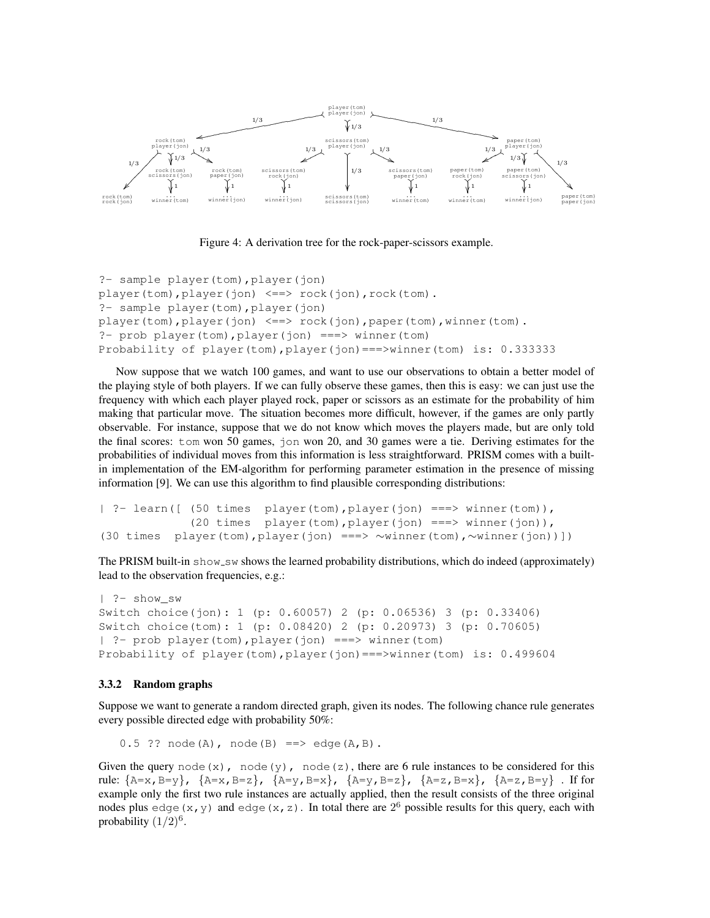

Figure 4: A derivation tree for the rock-paper-scissors example.

```
?- sample player(tom),player(jon)
player(tom),player(jon) <==> rock(jon),rock(tom).
?- sample player(tom),player(jon)
player(tom),player(jon) <==> rock(jon),paper(tom),winner(tom).
?- prob player(tom),player(jon) ===> winner(tom)
Probability of player(tom),player(jon)===>winner(tom) is: 0.333333
```
Now suppose that we watch 100 games, and want to use our observations to obtain a better model of the playing style of both players. If we can fully observe these games, then this is easy: we can just use the frequency with which each player played rock, paper or scissors as an estimate for the probability of him making that particular move. The situation becomes more difficult, however, if the games are only partly observable. For instance, suppose that we do not know which moves the players made, but are only told the final scores: tom won 50 games, jon won 20, and 30 games were a tie. Deriving estimates for the probabilities of individual moves from this information is less straightforward. PRISM comes with a builtin implementation of the EM-algorithm for performing parameter estimation in the presence of missing information [9]. We can use this algorithm to find plausible corresponding distributions:

```
| ?- learn([ (50 times player(tom),player(jon) ===> winner(tom)),
             (20 times player(tom),player(jon) ===> winner(jon)),
(30 times player(tom),player(jon) ===> ∼winner(tom),∼winner(jon))])
```
The PRISM built-in show\_sw shows the learned probability distributions, which do indeed (approximately) lead to the observation frequencies, e.g.:

```
| ?- show_sw
Switch choice(jon): 1 (p: 0.60057) 2 (p: 0.06536) 3 (p: 0.33406)
Switch choice(tom): 1 (p: 0.08420) 2 (p: 0.20973) 3 (p: 0.70605)
| ?- prob player(tom),player(jon) ===> winner(tom)
Probability of player(tom),player(jon)===>winner(tom) is: 0.499604
```
#### 3.3.2 Random graphs

Suppose we want to generate a random directed graph, given its nodes. The following chance rule generates every possible directed edge with probability 50%:

 $0.5$  ?? node(A), node(B) ==> edge(A,B).

Given the query node(x), node(y), node(z), there are 6 rule instances to be considered for this rule:  $\{A=x, B=y\}$ ,  $\{A=x, B=z\}$ ,  $\{A=y, B=x\}$ ,  $\{A=y, B=z\}$ ,  $\{A=z, B=x\}$ ,  $\{A=z, B=y\}$ . If for example only the first two rule instances are actually applied, then the result consists of the three original nodes plus edge(x,y) and edge(x,z). In total there are  $2^6$  possible results for this query, each with probability  $(1/2)^6$ .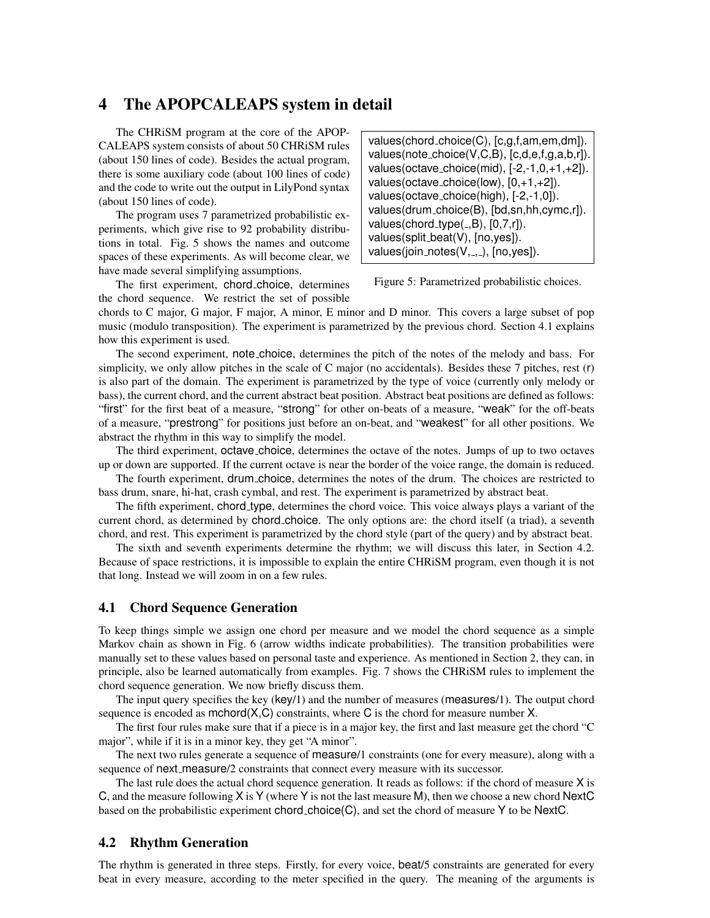# 4 The APOPCALEAPS system in detail

The CHRiSM program at the core of the APOP-CALEAPS system consists of about 50 CHRiSM rules (about 150 lines of code). Besides the actual program, there is some auxiliary code (about 100 lines of code) and the code to write out the output in LilyPond syntax (about 150 lines of code).

The program uses 7 parametrized probabilistic experiments, which give rise to 92 probability distributions in total. Fig. 5 shows the names and outcome spaces of these experiments. As will become clear, we have made several simplifying assumptions.

values(chord choice(C), [c,g,f,am,em,dm]). values(note choice(V,C,B), [c,d,e,f,g,a,b,r]). values(octave choice(mid), [-2,-1,0,+1,+2]). values(octave\_choice(low),  $[0, +1, +2]$ ). values(octave choice(high), [-2,-1,0]). values(drum choice(B), [bd,sn,hh,cymc,r]). values(chord\_type $(.,B), [0,7,r]$ ). values(split beat(V), [no,yes]). values(join\_notes( $V,$ ,  $,$ ,  $[$ no,  $y$ es]).

Figure 5: Parametrized probabilistic choices.

The first experiment, chord choice, determines the chord sequence. We restrict the set of possible

chords to C major, G major, F major, A minor, E minor and D minor. This covers a large subset of pop music (modulo transposition). The experiment is parametrized by the previous chord. Section 4.1 explains how this experiment is used.

The second experiment, note choice, determines the pitch of the notes of the melody and bass. For simplicity, we only allow pitches in the scale of C major (no accidentals). Besides these 7 pitches, rest (r) is also part of the domain. The experiment is parametrized by the type of voice (currently only melody or bass), the current chord, and the current abstract beat position. Abstract beat positions are defined as follows: "first" for the first beat of a measure, "strong" for other on-beats of a measure, "weak" for the off-beats of a measure, "prestrong" for positions just before an on-beat, and "weakest" for all other positions. We abstract the rhythm in this way to simplify the model.

The third experiment, octave choice, determines the octave of the notes. Jumps of up to two octaves up or down are supported. If the current octave is near the border of the voice range, the domain is reduced.

The fourth experiment, drum choice, determines the notes of the drum. The choices are restricted to bass drum, snare, hi-hat, crash cymbal, and rest. The experiment is parametrized by abstract beat.

The fifth experiment, chord type, determines the chord voice. This voice always plays a variant of the current chord, as determined by chord choice. The only options are: the chord itself (a triad), a seventh chord, and rest. This experiment is parametrized by the chord style (part of the query) and by abstract beat.

The sixth and seventh experiments determine the rhythm; we will discuss this later, in Section 4.2. Because of space restrictions, it is impossible to explain the entire CHRiSM program, even though it is not that long. Instead we will zoom in on a few rules.

## 4.1 Chord Sequence Generation

To keep things simple we assign one chord per measure and we model the chord sequence as a simple Markov chain as shown in Fig. 6 (arrow widths indicate probabilities). The transition probabilities were manually set to these values based on personal taste and experience. As mentioned in Section 2, they can, in principle, also be learned automatically from examples. Fig. 7 shows the CHRiSM rules to implement the chord sequence generation. We now briefly discuss them.

The input query specifies the key (key/1) and the number of measures (measures/1). The output chord sequence is encoded as  $mchord(X, C)$  constraints, where C is the chord for measure number X.

The first four rules make sure that if a piece is in a major key, the first and last measure get the chord "C major", while if it is in a minor key, they get "A minor".

The next two rules generate a sequence of measure/1 constraints (one for every measure), along with a sequence of next\_measure/2 constraints that connect every measure with its successor.

The last rule does the actual chord sequence generation. It reads as follows: if the chord of measure X is C, and the measure following X is Y (where Y is not the last measure M), then we choose a new chord NextC based on the probabilistic experiment chord choice $(C)$ , and set the chord of measure Y to be NextC.

#### 4.2 Rhythm Generation

The rhythm is generated in three steps. Firstly, for every voice, beat/5 constraints are generated for every beat in every measure, according to the meter specified in the query. The meaning of the arguments is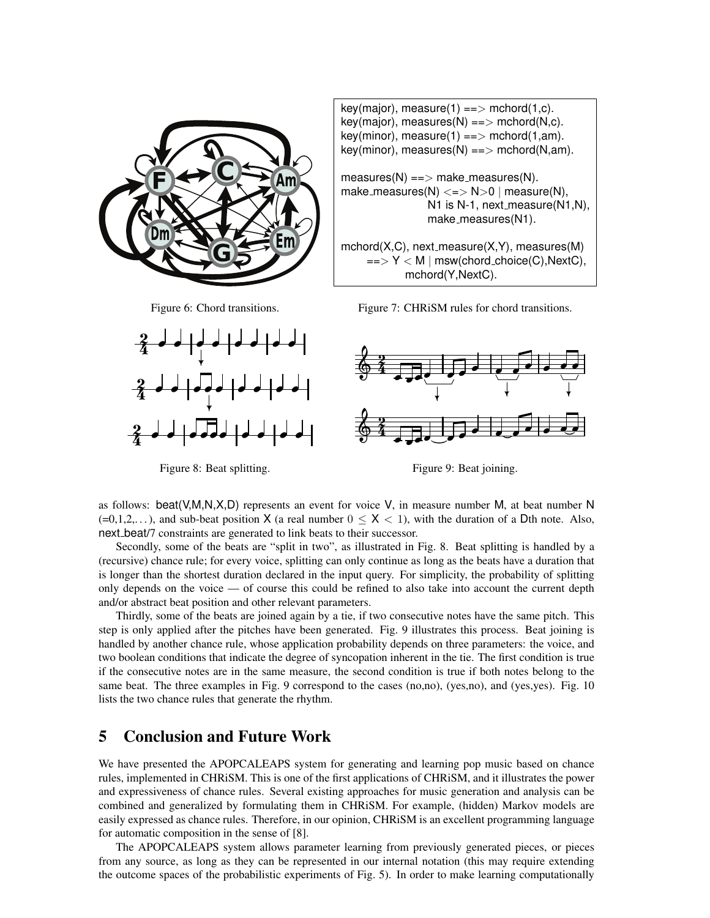

Figure 6: Chord transitions.

⇂  $\overrightarrow{a}$ 

2<br>4

?<br>2

2<br>4

 $\perp$ 

 $\overline{\phantom{a} }$ 

 $\overline{\phantom{a}}$ 

key(major), measure(1) == > mchord(1,c).  $key(major)$ , measures(N) ==> mchord(N,c).  $key(minor)$ , measure(1) ==> mchord(1,am).  $key(minor)$ , measures(N) ==> mchord(N,am).  $measures(N) ==> make-measures(N).$ make\_measures(N)  $\lt =$   $>$  N $>$ 0 | measure(N), N1 is N-1, next measure  $(N1,N)$ , make\_measures(N1).  $mchord(X,C)$ , next\_measure $(X,Y)$ , measures $(M)$  $\Rightarrow$  Y < M | msw(chord\_choice(C), NextC), mchord(Y,NextC).

Figure 7: CHRiSM rules for chord transitions.



Figure 8: Beat splitting.

⇂  $\overline{\phantom{a}}$ 

Figure 9: Beat joining.

as follows: beat( $V, M, N, X, D$ ) represents an event for voice V, in measure number M, at beat number N  $(=0,1,2,...)$ , and sub-beat position X (a real number  $0 \le X < 1$ ), with the duration of a Dth note. Also, next beat/7 constraints are generated to link beats to their successor.

Secondly, some of the beats are "split in two", as illustrated in Fig. 8. Beat splitting is handled by a (recursive) chance rule; for every voice, splitting can only continue as long as the beats have a duration that is longer than the shortest duration declared in the input query. For simplicity, the probability of splitting only depends on the voice — of course this could be refined to also take into account the current depth and/or abstract beat position and other relevant parameters.

Thirdly, some of the beats are joined again by a tie, if two consecutive notes have the same pitch. This step is only applied after the pitches have been generated. Fig. 9 illustrates this process. Beat joining is handled by another chance rule, whose application probability depends on three parameters: the voice, and two boolean conditions that indicate the degree of syncopation inherent in the tie. The first condition is true if the consecutive notes are in the same measure, the second condition is true if both notes belong to the same beat. The three examples in Fig. 9 correspond to the cases (no,no), (yes,no), and (yes,yes). Fig. 10 lists the two chance rules that generate the rhythm.

## 5 Conclusion and Future Work

We have presented the APOPCALEAPS system for generating and learning pop music based on chance rules, implemented in CHRiSM. This is one of the first applications of CHRiSM, and it illustrates the power and expressiveness of chance rules. Several existing approaches for music generation and analysis can be combined and generalized by formulating them in CHRiSM. For example, (hidden) Markov models are easily expressed as chance rules. Therefore, in our opinion, CHRiSM is an excellent programming language for automatic composition in the sense of [8].

The APOPCALEAPS system allows parameter learning from previously generated pieces, or pieces from any source, as long as they can be represented in our internal notation (this may require extending the outcome spaces of the probabilistic experiments of Fig. 5). In order to make learning computationally